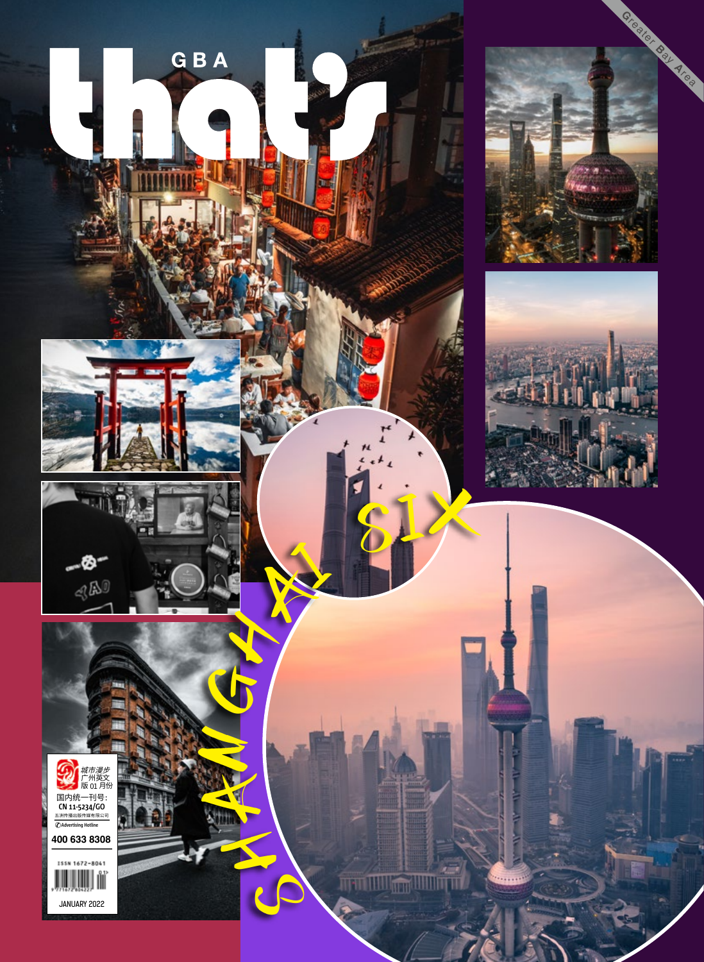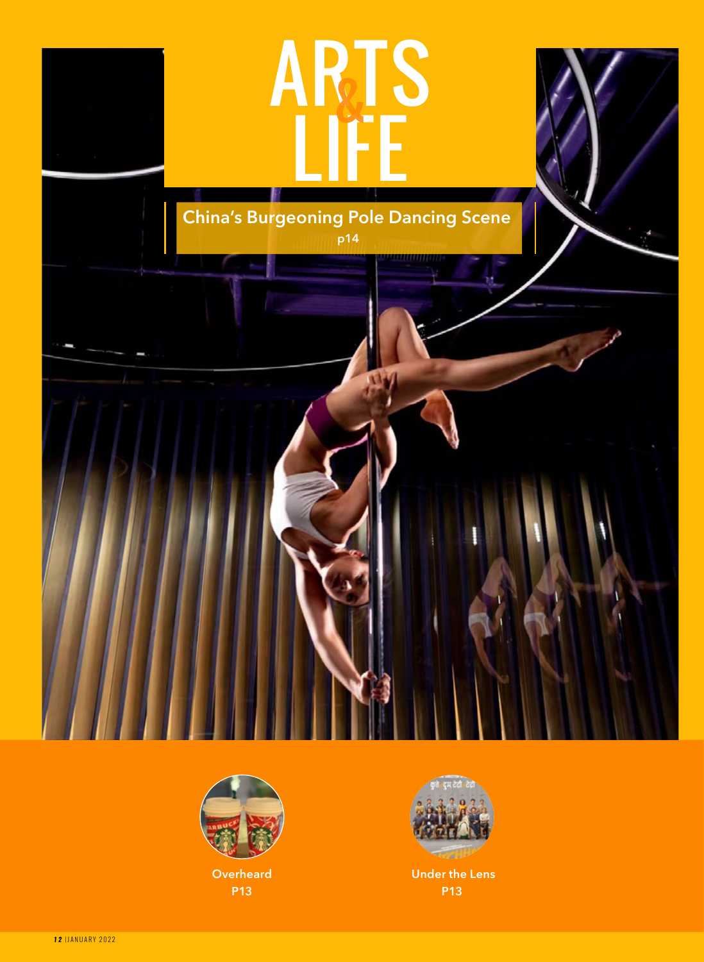



**Overheard P13**



 **Under the Lens P13**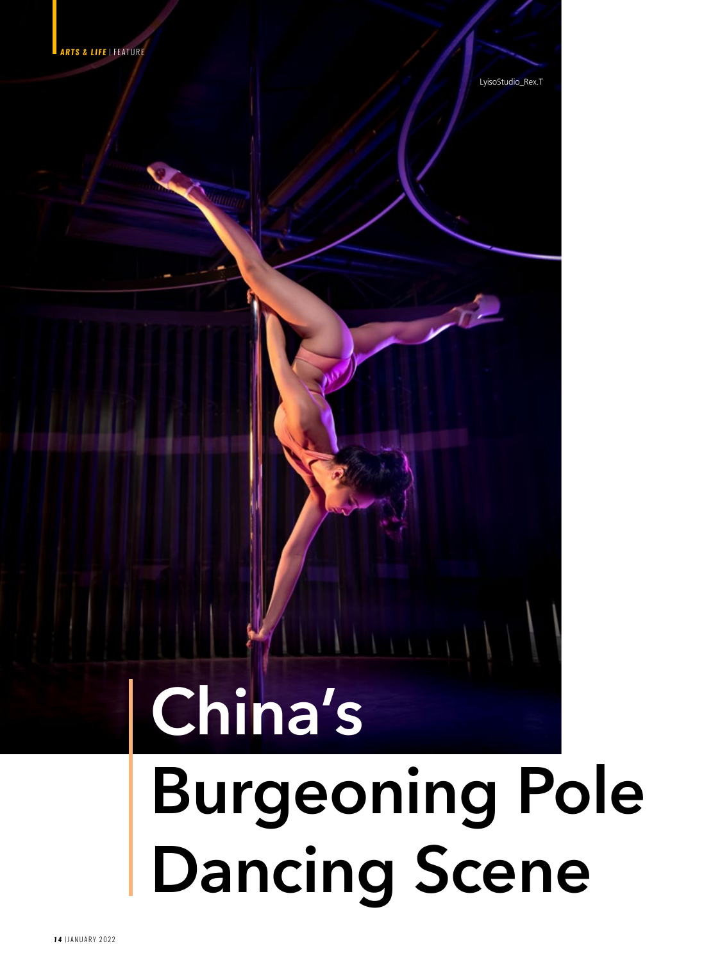

LyisoStudio\_Rex.T

## **China's**

## **Burgeoning Pole Dancing Scene**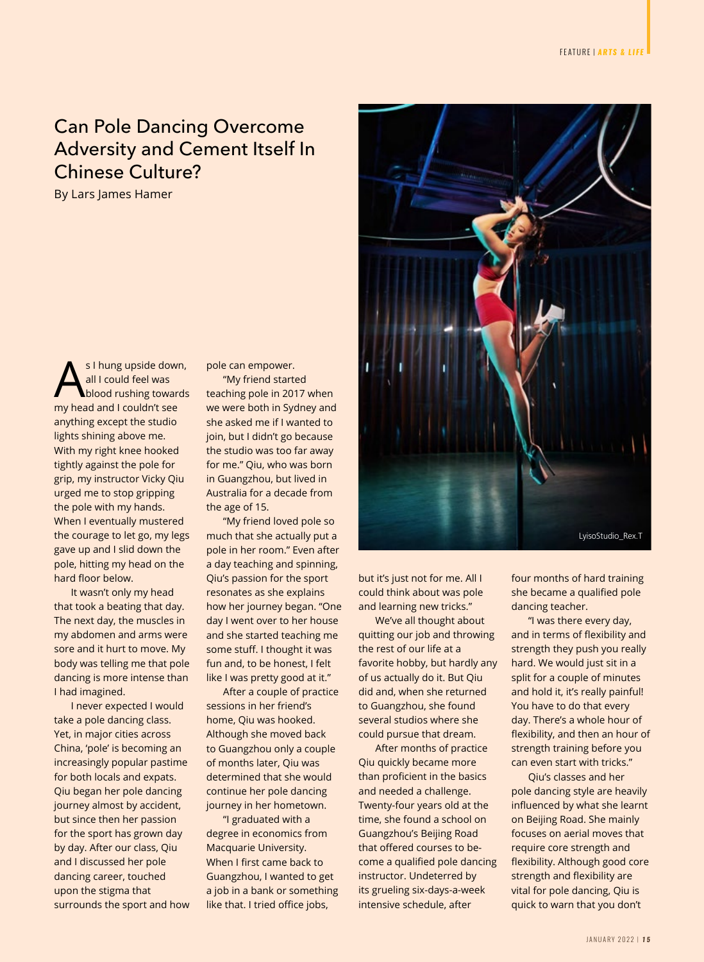## Can Pole Dancing Overcome Adversity and Cement Itself In Chinese Culture?

By Lars James Hamer

S I hung upside down,<br>all I could feel was<br>my bood and Leguida't see all I could feel was my head and I couldn't see anything except the studio lights shining above me. With my right knee hooked tightly against the pole for grip, my instructor Vicky Qiu urged me to stop gripping the pole with my hands. When I eventually mustered the courage to let go, my legs gave up and I slid down the pole, hitting my head on the hard floor below.

It wasn't only my head that took a beating that day. The next day, the muscles in my abdomen and arms were sore and it hurt to move. My body was telling me that pole dancing is more intense than I had imagined.

I never expected I would take a pole dancing class. Yet, in major cities across China, 'pole' is becoming an increasingly popular pastime for both locals and expats. Qiu began her pole dancing journey almost by accident, but since then her passion for the sport has grown day by day. After our class, Qiu and I discussed her pole dancing career, touched upon the stigma that surrounds the sport and how pole can empower.

"My friend started teaching pole in 2017 when we were both in Sydney and she asked me if I wanted to join, but I didn't go because the studio was too far away for me." Qiu, who was born in Guangzhou, but lived in Australia for a decade from the age of 15.

"My friend loved pole so much that she actually put a pole in her room." Even after a day teaching and spinning, Qiu's passion for the sport resonates as she explains how her journey began. "One day I went over to her house and she started teaching me some stuff. I thought it was fun and, to be honest, I felt like I was pretty good at it."

After a couple of practice sessions in her friend's home, Qiu was hooked. Although she moved back to Guangzhou only a couple of months later, Qiu was determined that she would continue her pole dancing journey in her hometown.

"I graduated with a degree in economics from Macquarie University. When I first came back to Guangzhou, I wanted to get a job in a bank or something like that. I tried office jobs,



but it's just not for me. All I could think about was pole and learning new tricks."

We've all thought about quitting our job and throwing the rest of our life at a favorite hobby, but hardly any of us actually do it. But Qiu did and, when she returned to Guangzhou, she found several studios where she could pursue that dream.

After months of practice Qiu quickly became more than proficient in the basics and needed a challenge. Twenty-four years old at the time, she found a school on Guangzhou's Beijing Road that offered courses to become a qualified pole dancing instructor. Undeterred by its grueling six-days-a-week intensive schedule, after

four months of hard training she became a qualified pole dancing teacher.

"I was there every day, and in terms of flexibility and strength they push you really hard. We would just sit in a split for a couple of minutes and hold it, it's really painful! You have to do that every day. There's a whole hour of flexibility, and then an hour of strength training before you can even start with tricks."

Qiu's classes and her pole dancing style are heavily influenced by what she learnt on Beijing Road. She mainly focuses on aerial moves that require core strength and flexibility. Although good core strength and flexibility are vital for pole dancing, Qiu is quick to warn that you don't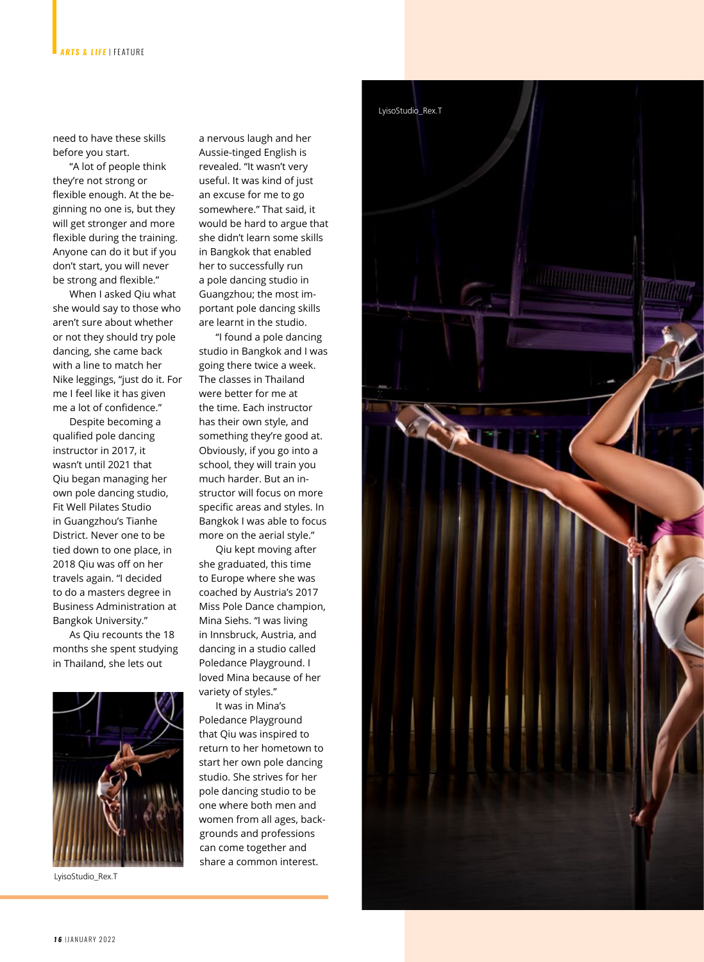need to have these skills before you start.

"A lot of people think they're not strong or flexible enough. At the beginning no one is, but they will get stronger and more flexible during the training. Anyone can do it but if you don't start, you will never be strong and flexible."

When I asked Qiu what she would say to those who aren't sure about whether or not they should try pole dancing, she came back with a line to match her Nike leggings, "just do it. For me I feel like it has given me a lot of confidence."

Despite becoming a qualified pole dancing instructor in 2017, it wasn't until 2021 that Qiu began managing her own pole dancing studio, Fit Well Pilates Studio in Guangzhou's Tianhe District. Never one to be tied down to one place, in 2018 Qiu was off on her travels again. "I decided to do a masters degree in Business Administration at Bangkok University."

As Qiu recounts the 18 months she spent studying in Thailand, she lets out



LyisoStudio\_Rex.T

a nervous laugh and her Aussie-tinged English is revealed. "It wasn't very useful. It was kind of just an excuse for me to go somewhere." That said, it would be hard to argue that she didn't learn some skills in Bangkok that enabled her to successfully run a pole dancing studio in Guangzhou; the most important pole dancing skills are learnt in the studio.

"I found a pole dancing studio in Bangkok and I was going there twice a week. The classes in Thailand were better for me at the time. Each instructor has their own style, and something they're good at. Obviously, if you go into a school, they will train you much harder. But an instructor will focus on more specific areas and styles. In Bangkok I was able to focus more on the aerial style."

Qiu kept moving after she graduated, this time to Europe where she was coached by Austria's 2017 Miss Pole Dance champion, Mina Siehs. "I was living in Innsbruck, Austria, and dancing in a studio called Poledance Playground. I loved Mina because of her variety of styles."

It was in Mina's Poledance Playground that Qiu was inspired to return to her hometown to start her own pole dancing studio. She strives for her pole dancing studio to be one where both men and women from all ages, backgrounds and professions can come together and share a common interest.